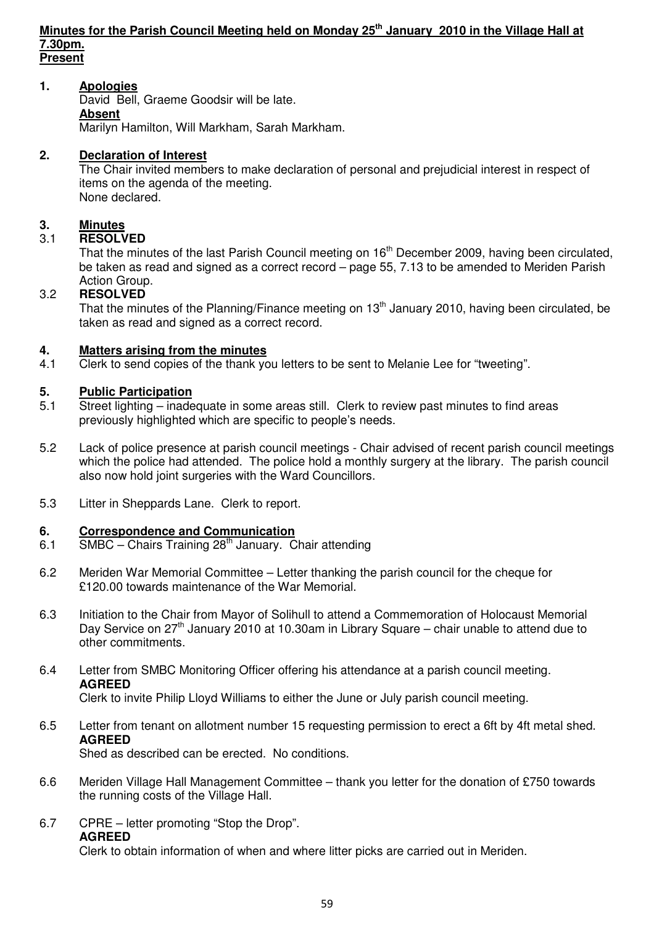#### **Minutes for the Parish Council Meeting held on Monday 25th January 2010 in the Village Hall at 7.30pm. Present**

### **1. Apologies**

David Bell, Graeme Goodsir will be late.  **Absent**

Marilyn Hamilton, Will Markham, Sarah Markham.

## **2. Declaration of Interest**

The Chair invited members to make declaration of personal and prejudicial interest in respect of items on the agenda of the meeting. None declared.

### **3. Minutes**

### 3.1 **RESOLVED**

That the minutes of the last Parish Council meeting on 16<sup>th</sup> December 2009, having been circulated, be taken as read and signed as a correct record – page 55, 7.13 to be amended to Meriden Parish Action Group.

### 3.2 **RESOLVED**

That the minutes of the Planning/Finance meeting on  $13<sup>th</sup>$  January 2010, having been circulated, be taken as read and signed as a correct record.

### **4. Matters arising from the minutes**

4.1 Clerk to send copies of the thank you letters to be sent to Melanie Lee for "tweeting".

### **5. Public Participation**

- 5.1 Street lighting inadequate in some areas still. Clerk to review past minutes to find areas previously highlighted which are specific to people's needs.
- 5.2Lack of police presence at parish council meetings Chair advised of recent parish council meetings which the police had attended. The police hold a monthly surgery at the library. The parish council also now hold joint surgeries with the Ward Councillors.
- 5.3 Litter in Sheppards Lane. Clerk to report.

### **6. Correspondence and Communication**

- 6.1 SMBC Chairs Training  $28<sup>th</sup>$  January. Chair attending
- 6.2 Meriden War Memorial Committee Letter thanking the parish council for the cheque for £120.00 towards maintenance of the War Memorial.
- 6.3 Initiation to the Chair from Mayor of Solihull to attend a Commemoration of Holocaust Memorial Day Service on  $27<sup>th</sup>$  January 2010 at 10.30am in Library Square – chair unable to attend due to other commitments.

## 6.4 Letter from SMBC Monitoring Officer offering his attendance at a parish council meeting.  **AGREED**

Clerk to invite Philip Lloyd Williams to either the June or July parish council meeting.

### 6.5 Letter from tenant on allotment number 15 requesting permission to erect a 6ft by 4ft metal shed. **AGREED**

Shed as described can be erected. No conditions.

- 6.6 Meriden Village Hall Management Committee thank you letter for the donation of £750 towards the running costs of the Village Hall.
- 6.7 CPRE letter promoting "Stop the Drop". **AGREED**

Clerk to obtain information of when and where litter picks are carried out in Meriden.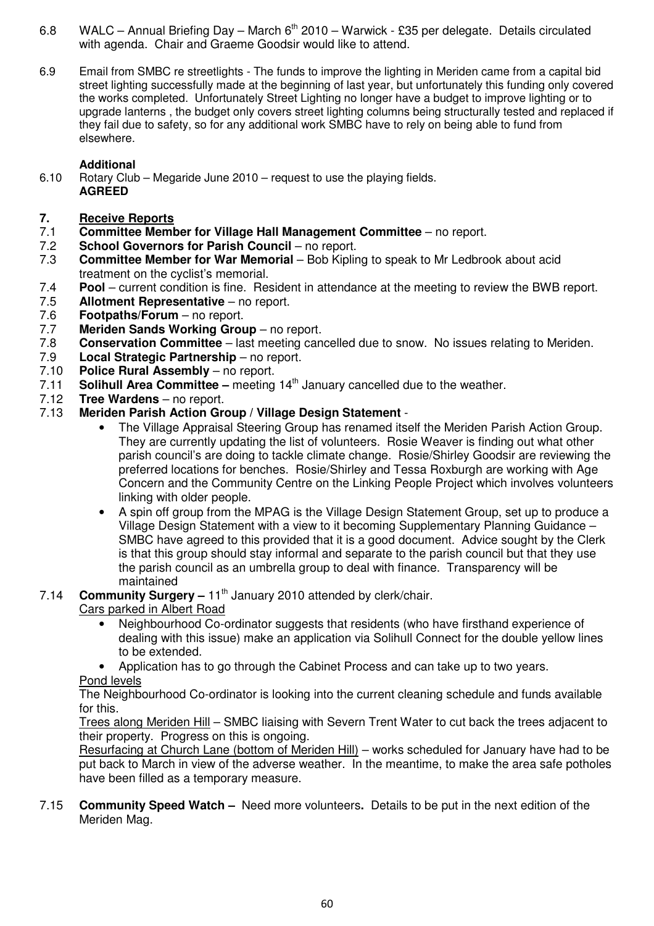- 6.8 WALC Annual Briefing Day March  $6<sup>th</sup>$  2010 Warwick £35 per delegate. Details circulated with agenda. Chair and Graeme Goodsir would like to attend.
- 6.9 Email from SMBC re streetlights The funds to improve the lighting in Meriden came from a capital bid street lighting successfully made at the beginning of last year, but unfortunately this funding only covered the works completed. Unfortunately Street Lighting no longer have a budget to improve lighting or to upgrade lanterns , the budget only covers street lighting columns being structurally tested and replaced if they fail due to safety, so for any additional work SMBC have to rely on being able to fund from elsewhere.

## **Additional**

- 6.10 Rotary Club Megaride June 2010 request to use the playing fields. **AGREED**
- **7.** Receive Reports<br>7.1 Committee Memb
- **Committee Member for Village Hall Management Committee no report.**
- 7.2 **School Governors for Parish Council** no report.<br>7.3 **Committee Member for War Memorial Bob Kiplin**
- 7.3 **Committee Member for War Memorial**  Bob Kipling to speak to Mr Ledbrook about acid treatment on the cyclist's memorial.
- 7.4 **Pool** current condition is fine. Resident in attendance at the meeting to review the BWB report.<br>7.5 **Allotment Representative** no report.
- **Allotment Representative no report.**
- 7.6 **Footpaths/Forum**  no report.
- 7.7 **Meriden Sands Working Group** no report.
- 7.8 **Conservation Committee** last meeting cancelled due to snow. No issues relating to Meriden.
- 7.9 **Local Strategic Partnership**  no report.
- 7.10 **Police Rural Assembly** no report.
- 7.11 **Solihull Area Committee** meeting 14th January cancelled due to the weather.
- 7.12 **Tree Wardens**  no report.
- 7.13 **Meriden Parish Action Group / Village Design Statement** 
	- The Village Appraisal Steering Group has renamed itself the Meriden Parish Action Group. They are currently updating the list of volunteers. Rosie Weaver is finding out what other parish council's are doing to tackle climate change. Rosie/Shirley Goodsir are reviewing the preferred locations for benches. Rosie/Shirley and Tessa Roxburgh are working with Age Concern and the Community Centre on the Linking People Project which involves volunteers linking with older people.
	- A spin off group from the MPAG is the Village Design Statement Group, set up to produce a Village Design Statement with a view to it becoming Supplementary Planning Guidance – SMBC have agreed to this provided that it is a good document. Advice sought by the Clerk is that this group should stay informal and separate to the parish council but that they use the parish council as an umbrella group to deal with finance. Transparency will be maintained
- 7.14 **Community Surgery –** 11<sup>th</sup> January 2010 attended by clerk/chair.

# Cars parked in Albert Road

- Neighbourhood Co-ordinator suggests that residents (who have firsthand experience of dealing with this issue) make an application via Solihull Connect for the double yellow lines to be extended.
- Application has to go through the Cabinet Process and can take up to two years. Pond levels

 The Neighbourhood Co-ordinator is looking into the current cleaning schedule and funds available for this.

 Trees along Meriden Hill – SMBC liaising with Severn Trent Water to cut back the trees adjacent to their property. Progress on this is ongoing.

 Resurfacing at Church Lane (bottom of Meriden Hill) – works scheduled for January have had to be put back to March in view of the adverse weather. In the meantime, to make the area safe potholes have been filled as a temporary measure.

7.15 **Community Speed Watch –** Need more volunteers**.** Details to be put in the next edition of the Meriden Mag.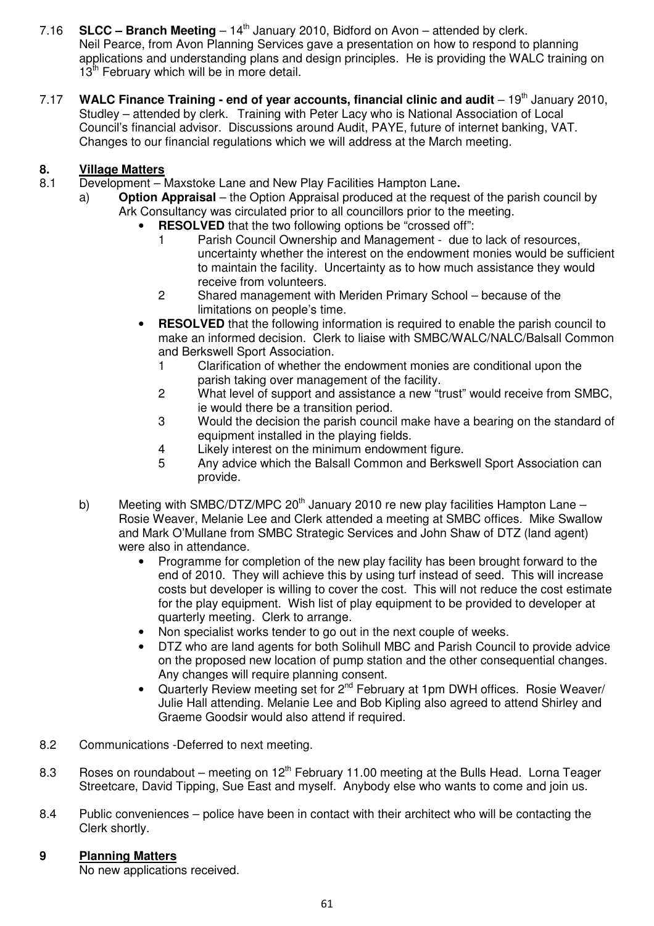- 7.16 **SLCC Branch Meeting**  $14<sup>th</sup>$  January 2010, Bidford on Avon attended by clerk. Neil Pearce, from Avon Planning Services gave a presentation on how to respond to planning applications and understanding plans and design principles. He is providing the WALC training on 13<sup>th</sup> February which will be in more detail.
- 7.17 **WALC Finance Training end of year accounts, financial clinic and audit** 19<sup>th</sup> January 2010, Studley – attended by clerk. Training with Peter Lacy who is National Association of Local Council's financial advisor. Discussions around Audit, PAYE, future of internet banking, VAT. Changes to our financial regulations which we will address at the March meeting.

## **8. Village Matters**

- 8.1 Development Maxstoke Lane and New Play Facilities Hampton Lane**.** 
	- a) **Option Appraisal** the Option Appraisal produced at the request of the parish council by Ark Consultancy was circulated prior to all councillors prior to the meeting.
		- **RESOLVED** that the two following options be "crossed off":
			- 1 Parish Council Ownership and Management due to lack of resources, uncertainty whether the interest on the endowment monies would be sufficient to maintain the facility. Uncertainty as to how much assistance they would receive from volunteers.
			- 2 Shared management with Meriden Primary School because of the limitations on people's time.
		- **RESOLVED** that the following information is required to enable the parish council to make an informed decision. Clerk to liaise with SMBC/WALC/NALC/Balsall Common and Berkswell Sport Association.
			- 1 Clarification of whether the endowment monies are conditional upon the parish taking over management of the facility.
			- 2 What level of support and assistance a new "trust" would receive from SMBC, ie would there be a transition period.
			- 3 Would the decision the parish council make have a bearing on the standard of equipment installed in the playing fields.
			- 4 Likely interest on the minimum endowment figure.
			- 5 Any advice which the Balsall Common and Berkswell Sport Association can provide.
	- b) Meeting with SMBC/DTZ/MPC 20<sup>th</sup> January 2010 re new play facilities Hampton Lane Rosie Weaver, Melanie Lee and Clerk attended a meeting at SMBC offices. Mike Swallow and Mark O'Mullane from SMBC Strategic Services and John Shaw of DTZ (land agent) were also in attendance.
		- Programme for completion of the new play facility has been brought forward to the end of 2010. They will achieve this by using turf instead of seed. This will increase costs but developer is willing to cover the cost. This will not reduce the cost estimate for the play equipment. Wish list of play equipment to be provided to developer at quarterly meeting. Clerk to arrange.
		- Non specialist works tender to go out in the next couple of weeks.
		- DTZ who are land agents for both Solihull MBC and Parish Council to provide advice on the proposed new location of pump station and the other consequential changes. Any changes will require planning consent.
		- Quarterly Review meeting set for  $2^{nd}$  February at 1pm DWH offices. Rosie Weaver/ Julie Hall attending. Melanie Lee and Bob Kipling also agreed to attend Shirley and Graeme Goodsir would also attend if required.
- 8.2 Communications -Deferred to next meeting.
- 8.3 Roses on roundabout meeting on  $12<sup>th</sup>$  February 11.00 meeting at the Bulls Head. Lorna Teager Streetcare, David Tipping, Sue East and myself. Anybody else who wants to come and join us.
- 8.4 Public conveniences police have been in contact with their architect who will be contacting the Clerk shortly.
- **9 Planning Matters**

No new applications received.